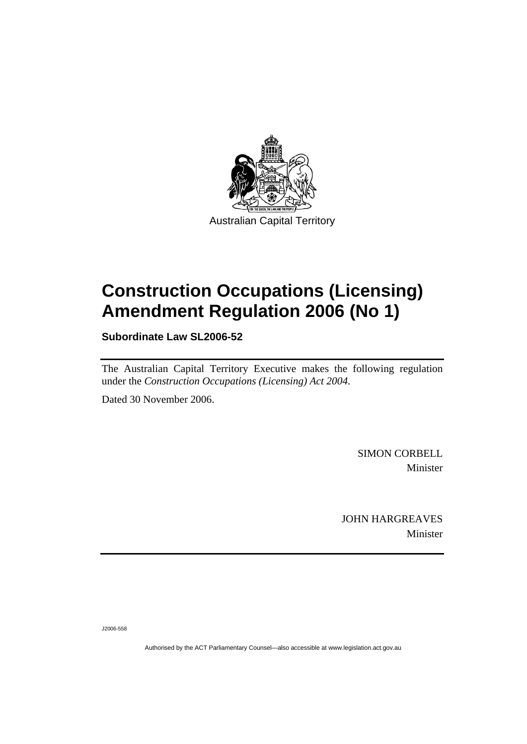

## **Construction Occupations (Licensing) Amendment Regulation 2006 (No 1)**

**Subordinate Law SL2006-52** 

The Australian Capital Territory Executive makes the following regulation under the *Construction Occupations (Licensing) Act 2004*.

Dated 30 November 2006.

SIMON CORBELL Minister

JOHN HARGREAVES Minister

J2006-558

Authorised by the ACT Parliamentary Counsel—also accessible at www.legislation.act.gov.au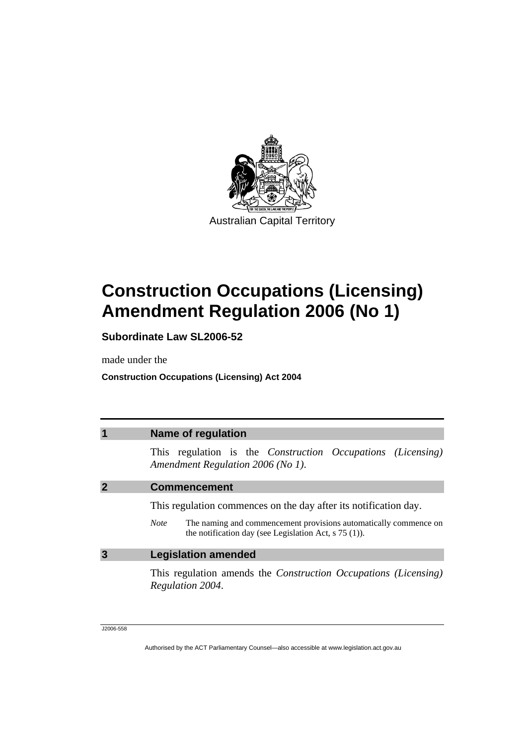

# **Construction Occupations (Licensing) Amendment Regulation 2006 (No 1)**

**Subordinate Law SL2006-52** 

made under the

**Construction Occupations (Licensing) Act 2004** 

| <b>Name of regulation</b>                                                                                                                                                                                      |  |  |
|----------------------------------------------------------------------------------------------------------------------------------------------------------------------------------------------------------------|--|--|
| This regulation is the <i>Construction Occupations (Licensing)</i><br>Amendment Regulation 2006 (No 1).                                                                                                        |  |  |
| <b>Commencement</b>                                                                                                                                                                                            |  |  |
| This regulation commences on the day after its notification day.<br>The naming and commencement provisions automatically commence on<br><b>Note</b><br>the notification day (see Legislation Act, $s$ 75 (1)). |  |  |
|                                                                                                                                                                                                                |  |  |
| <b>Legislation amended</b>                                                                                                                                                                                     |  |  |
| This regulation amends the <i>Construction Occupations</i> ( <i>Licensing</i> )<br>Regulation 2004.                                                                                                            |  |  |
|                                                                                                                                                                                                                |  |  |

J2006-558

Authorised by the ACT Parliamentary Counsel—also accessible at www.legislation.act.gov.au